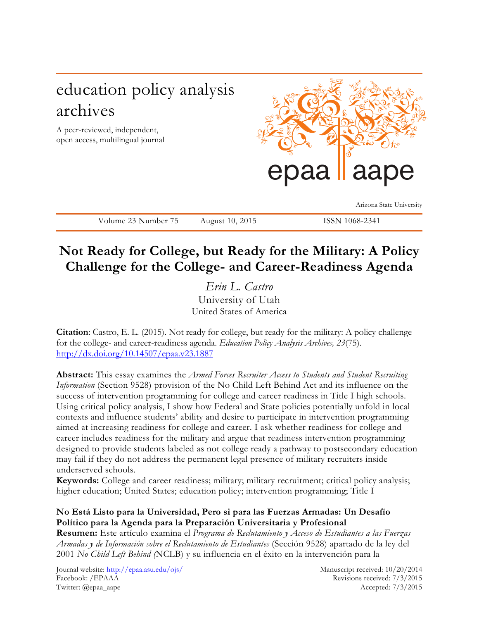# education policy analysis archives

A peer-reviewed, independent, open access, multilingual journal



Arizona State University

Volume 23 Number 75 August 10, 2015 ISSN 1068-2341

## **Not Ready for College, but Ready for the Military: A Policy Challenge for the College- and Career-Readiness Agenda**

*Erin L. Castro* University of Utah United States of America

**Citation**: Castro, E. L. (2015). Not ready for college, but ready for the military: A policy challenge for the college- and career-readiness agenda. *Education Policy Analysis Archives, 23*(75). http://dx.doi.org/10.14507/epaa.v23.1887

**Abstract:** This essay examines the *Armed Forces Recruiter Access to Students and Student Recruiting Information* (Section 9528) provision of the No Child Left Behind Act and its influence on the success of intervention programming for college and career readiness in Title I high schools. Using critical policy analysis, I show how Federal and State policies potentially unfold in local contexts and influence students' ability and desire to participate in intervention programming aimed at increasing readiness for college and career. I ask whether readiness for college and career includes readiness for the military and argue that readiness intervention programming designed to provide students labeled as not college ready a pathway to postsecondary education may fail if they do not address the permanent legal presence of military recruiters inside underserved schools.

**Keywords:** College and career readiness; military; military recruitment; critical policy analysis; higher education; United States; education policy; intervention programming; Title I

## **No Está Listo para la Universidad, Pero si para las Fuerzas Armadas: Un Desafío Político para la Agenda para la Preparación Universitaria y Profesional**

**Resumen:** Este artículo examina el *Programa de Reclutamiento y Acceso de Estudiantes a las Fuerzas Armadas y de Información sobre el Reclutamiento de Estudiantes* (Sección 9528) apartado de la ley del 2001 *No Child Left Behind (*NCLB) y su influencia en el éxito en la intervención para la

Journal website: http://epaa.asu.edu/ojs/ Manuscript received: 10/20/2014 Facebook: /EPAAA Revisions received: 7/3/2015 Twitter: @epaa\_aape Accepted: 7/3/2015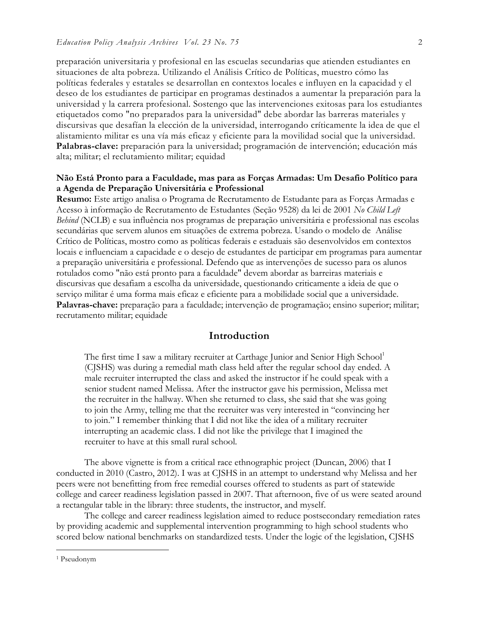preparación universitaria y profesional en las escuelas secundarias que atienden estudiantes en situaciones de alta pobreza. Utilizando el Análisis Crítico de Políticas, muestro cómo las políticas federales y estatales se desarrollan en contextos locales e influyen en la capacidad y el deseo de los estudiantes de participar en programas destinados a aumentar la preparación para la universidad y la carrera profesional. Sostengo que las intervenciones exitosas para los estudiantes etiquetados como "no preparados para la universidad" debe abordar las barreras materiales y discursivas que desafían la elección de la universidad, interrogando críticamente la idea de que el alistamiento militar es una vía más eficaz y eficiente para la movilidad social que la universidad. **Palabras-clave:** preparación para la universidad; programación de intervención; educación más alta; militar; el reclutamiento militar; equidad

#### **Não Está Pronto para a Faculdade, mas para as Forças Armadas: Um Desafio Político para a Agenda de Preparação Universitária e Professional**

**Resumo:** Este artigo analisa o Programa de Recrutamento de Estudante para as Forças Armadas e Acesso à informação de Recrutamento de Estudantes (Seção 9528) da lei de 2001 *No Child Left Behind* (NCLB) e sua influência nos programas de preparação universitária e professional nas escolas secundárias que servem alunos em situações de extrema pobreza. Usando o modelo de Análise Crítico de Políticas, mostro como as políticas federais e estaduais são desenvolvidos em contextos locais e influenciam a capacidade e o desejo de estudantes de participar em programas para aumentar a preparação universitária e professional. Defendo que as intervenções de sucesso para os alunos rotulados como "não está pronto para a faculdade" devem abordar as barreiras materiais e discursivas que desafiam a escolha da universidade, questionando criticamente a ideia de que o serviço militar é uma forma mais eficaz e eficiente para a mobilidade social que a universidade. **Palavras-chave:** preparação para a faculdade; intervenção de programação; ensino superior; militar; recrutamento militar; equidade

### **Introduction**

The first time I saw a military recruiter at Carthage Junior and Senior High School<sup>1</sup> (CJSHS) was during a remedial math class held after the regular school day ended. A male recruiter interrupted the class and asked the instructor if he could speak with a senior student named Melissa. After the instructor gave his permission, Melissa met the recruiter in the hallway. When she returned to class, she said that she was going to join the Army, telling me that the recruiter was very interested in "convincing her to join." I remember thinking that I did not like the idea of a military recruiter interrupting an academic class. I did not like the privilege that I imagined the recruiter to have at this small rural school.

The above vignette is from a critical race ethnographic project (Duncan, 2006) that I conducted in 2010 (Castro, 2012). I was at CJSHS in an attempt to understand why Melissa and her peers were not benefitting from free remedial courses offered to students as part of statewide college and career readiness legislation passed in 2007. That afternoon, five of us were seated around a rectangular table in the library: three students, the instructor, and myself.

The college and career readiness legislation aimed to reduce postsecondary remediation rates by providing academic and supplemental intervention programming to high school students who scored below national benchmarks on standardized tests. Under the logic of the legislation, CJSHS

 <sup>1</sup> Pseudonym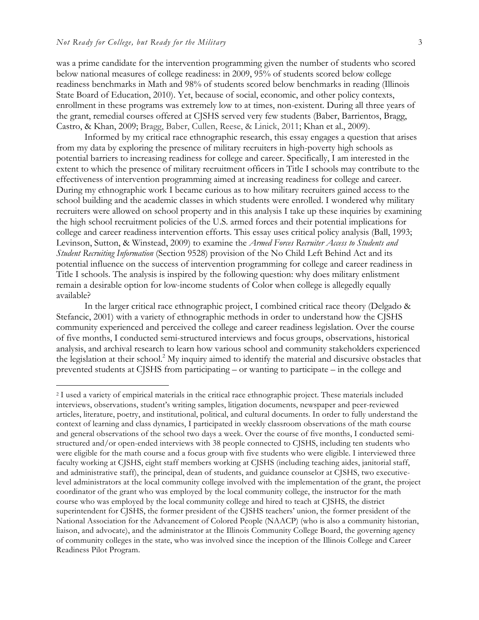was a prime candidate for the intervention programming given the number of students who scored below national measures of college readiness: in 2009, 95% of students scored below college readiness benchmarks in Math and 98% of students scored below benchmarks in reading (Illinois State Board of Education, 2010). Yet, because of social, economic, and other policy contexts, enrollment in these programs was extremely low to at times, non-existent. During all three years of the grant, remedial courses offered at CJSHS served very few students (Baber, Barrientos, Bragg, Castro, & Khan, 2009; Bragg, Baber, Cullen, Reese, & Linick, 2011; Khan et al., 2009).

Informed by my critical race ethnographic research, this essay engages a question that arises from my data by exploring the presence of military recruiters in high-poverty high schools as potential barriers to increasing readiness for college and career. Specifically, I am interested in the extent to which the presence of military recruitment officers in Title I schools may contribute to the effectiveness of intervention programming aimed at increasing readiness for college and career. During my ethnographic work I became curious as to how military recruiters gained access to the school building and the academic classes in which students were enrolled. I wondered why military recruiters were allowed on school property and in this analysis I take up these inquiries by examining the high school recruitment policies of the U.S. armed forces and their potential implications for college and career readiness intervention efforts. This essay uses critical policy analysis (Ball, 1993; Levinson, Sutton, & Winstead, 2009) to examine the *Armed Forces Recruiter Access to Students and Student Recruiting Information* (Section 9528) provision of the No Child Left Behind Act and its potential influence on the success of intervention programming for college and career readiness in Title I schools. The analysis is inspired by the following question: why does military enlistment remain a desirable option for low-income students of Color when college is allegedly equally available?

In the larger critical race ethnographic project, I combined critical race theory (Delgado & Stefancic, 2001) with a variety of ethnographic methods in order to understand how the CJSHS community experienced and perceived the college and career readiness legislation. Over the course of five months, I conducted semi-structured interviews and focus groups, observations, historical analysis, and archival research to learn how various school and community stakeholders experienced the legislation at their school.<sup>2</sup> My inquiry aimed to identify the material and discursive obstacles that prevented students at CJSHS from participating – or wanting to participate – in the college and

 <sup>2</sup> I used a variety of empirical materials in the critical race ethnographic project. These materials included interviews, observations, student's writing samples, litigation documents, newspaper and peer-reviewed articles, literature, poetry, and institutional, political, and cultural documents. In order to fully understand the context of learning and class dynamics, I participated in weekly classroom observations of the math course and general observations of the school two days a week. Over the course of five months, I conducted semistructured and/or open-ended interviews with 38 people connected to CJSHS, including ten students who were eligible for the math course and a focus group with five students who were eligible. I interviewed three faculty working at CJSHS, eight staff members working at CJSHS (including teaching aides, janitorial staff, and administrative staff), the principal, dean of students, and guidance counselor at CJSHS, two executivelevel administrators at the local community college involved with the implementation of the grant, the project coordinator of the grant who was employed by the local community college, the instructor for the math course who was employed by the local community college and hired to teach at CJSHS, the district superintendent for CJSHS, the former president of the CJSHS teachers' union, the former president of the National Association for the Advancement of Colored People (NAACP) (who is also a community historian, liaison, and advocate), and the administrator at the Illinois Community College Board, the governing agency of community colleges in the state, who was involved since the inception of the Illinois College and Career Readiness Pilot Program.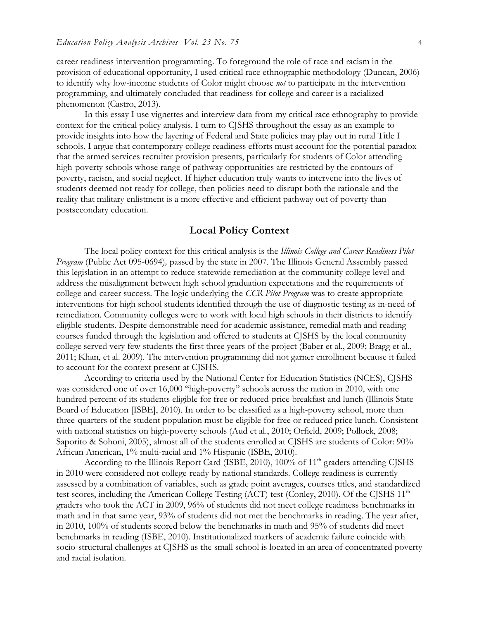career readiness intervention programming. To foreground the role of race and racism in the provision of educational opportunity, I used critical race ethnographic methodology (Duncan, 2006) to identify why low-income students of Color might choose *not* to participate in the intervention programming, and ultimately concluded that readiness for college and career is a racialized phenomenon (Castro, 2013).

In this essay I use vignettes and interview data from my critical race ethnography to provide context for the critical policy analysis. I turn to CJSHS throughout the essay as an example to provide insights into how the layering of Federal and State policies may play out in rural Title I schools. I argue that contemporary college readiness efforts must account for the potential paradox that the armed services recruiter provision presents, particularly for students of Color attending high-poverty schools whose range of pathway opportunities are restricted by the contours of poverty, racism, and social neglect. If higher education truly wants to intervene into the lives of students deemed not ready for college, then policies need to disrupt both the rationale and the reality that military enlistment is a more effective and efficient pathway out of poverty than postsecondary education.

#### **Local Policy Context**

The local policy context for this critical analysis is the *Illinois College and Career Readiness Pilot Program* (Public Act 095-0694)*,* passed by the state in 2007. The Illinois General Assembly passed this legislation in an attempt to reduce statewide remediation at the community college level and address the misalignment between high school graduation expectations and the requirements of college and career success. The logic underlying the *CCR Pilot Program* was to create appropriate interventions for high school students identified through the use of diagnostic testing as in-need of remediation. Community colleges were to work with local high schools in their districts to identify eligible students. Despite demonstrable need for academic assistance, remedial math and reading courses funded through the legislation and offered to students at CJSHS by the local community college served very few students the first three years of the project (Baber et al., 2009; Bragg et al., 2011; Khan, et al. 2009). The intervention programming did not garner enrollment because it failed to account for the context present at CJSHS.

According to criteria used by the National Center for Education Statistics (NCES), CJSHS was considered one of over 16,000 "high-poverty" schools across the nation in 2010, with one hundred percent of its students eligible for free or reduced-price breakfast and lunch (Illinois State Board of Education [ISBE], 2010). In order to be classified as a high-poverty school, more than three-quarters of the student population must be eligible for free or reduced price lunch. Consistent with national statistics on high-poverty schools (Aud et al., 2010; Orfield, 2009; Pollock, 2008; Saporito & Sohoni, 2005), almost all of the students enrolled at CJSHS are students of Color: 90% African American, 1% multi-racial and 1% Hispanic (ISBE, 2010).

According to the Illinois Report Card (ISBE, 2010), 100% of 11<sup>th</sup> graders attending CJSHS in 2010 were considered not college-ready by national standards. College readiness is currently assessed by a combination of variables, such as grade point averages, courses titles, and standardized test scores, including the American College Testing (ACT) test (Conley, 2010). Of the CJSHS 11<sup>th</sup> graders who took the ACT in 2009, 96% of students did not meet college readiness benchmarks in math and in that same year, 93% of students did not met the benchmarks in reading. The year after, in 2010, 100% of students scored below the benchmarks in math and 95% of students did meet benchmarks in reading (ISBE, 2010). Institutionalized markers of academic failure coincide with socio-structural challenges at CJSHS as the small school is located in an area of concentrated poverty and racial isolation.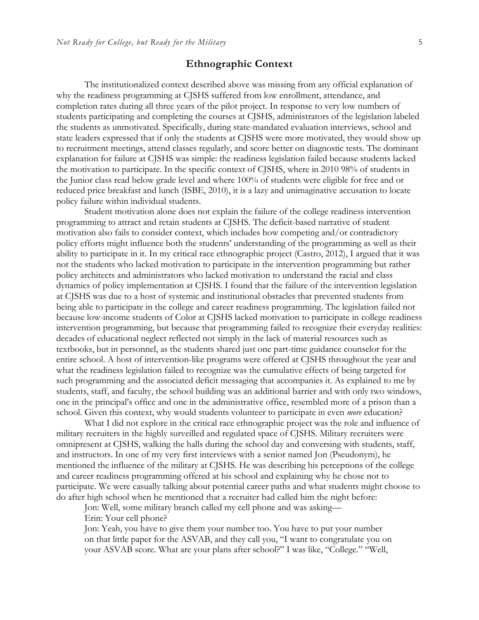## **Ethnographic Context**

The institutionalized context described above was missing from any official explanation of why the readiness programming at CJSHS suffered from low enrollment, attendance, and completion rates during all three years of the pilot project. In response to very low numbers of students participating and completing the courses at CJSHS, administrators of the legislation labeled the students as unmotivated. Specifically, during state-mandated evaluation interviews, school and state leaders expressed that if only the students at CJSHS were more motivated, they would show up to recruitment meetings, attend classes regularly, and score better on diagnostic tests. The dominant explanation for failure at CJSHS was simple: the readiness legislation failed because students lacked the motivation to participate. In the specific context of CJSHS, where in 2010 98% of students in the Junior class read below grade level and where 100% of students were eligible for free and or reduced price breakfast and lunch (ISBE, 2010), it is a lazy and unimaginative accusation to locate policy failure within individual students.

Student motivation alone does not explain the failure of the college readiness intervention programming to attract and retain students at CJSHS. The deficit-based narrative of student motivation also fails to consider context, which includes how competing and/or contradictory policy efforts might influence both the students' understanding of the programming as well as their ability to participate in it. In my critical race ethnographic project (Castro, 2012), I argued that it was not the students who lacked motivation to participate in the intervention programming but rather policy architects and administrators who lacked motivation to understand the racial and class dynamics of policy implementation at CJSHS. I found that the failure of the intervention legislation at CJSHS was due to a host of systemic and institutional obstacles that prevented students from being able to participate in the college and career readiness programming. The legislation failed not because low-income students of Color at CJSHS lacked motivation to participate in college readiness intervention programming, but because that programming failed to recognize their everyday realities: decades of educational neglect reflected not simply in the lack of material resources such as textbooks, but in personnel, as the students shared just one part-time guidance counselor for the entire school. A host of intervention-like programs were offered at CJSHS throughout the year and what the readiness legislation failed to recognize was the cumulative effects of being targeted for such programming and the associated deficit messaging that accompanies it. As explained to me by students, staff, and faculty, the school building was an additional barrier and with only two windows, one in the principal's office and one in the administrative office, resembled more of a prison than a school. Given this context, why would students volunteer to participate in even *more* education?

What I did not explore in the critical race ethnographic project was the role and influence of military recruiters in the highly surveilled and regulated space of CJSHS. Military recruiters were omnipresent at CJSHS, walking the halls during the school day and conversing with students, staff, and instructors. In one of my very first interviews with a senior named Jon (Pseudonym), he mentioned the influence of the military at CJSHS. He was describing his perceptions of the college and career readiness programming offered at his school and explaining why he chose not to participate. We were casually talking about potential career paths and what students might choose to do after high school when he mentioned that a recruiter had called him the night before:

Jon: Well, some military branch called my cell phone and was asking—

Erin: Your cell phone?

Jon: Yeah, you have to give them your number too. You have to put your number on that little paper for the ASVAB, and they call you, "I want to congratulate you on your ASVAB score. What are your plans after school?" I was like, "College." "Well,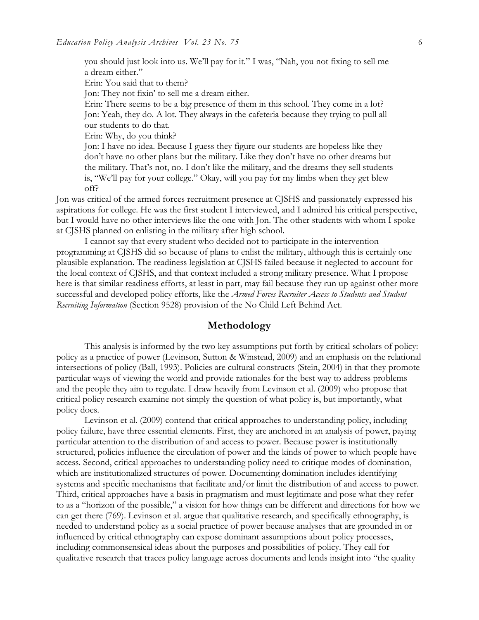you should just look into us. We'll pay for it." I was, "Nah, you not fixing to sell me a dream either." Erin: You said that to them? Jon: They not fixin' to sell me a dream either. Erin: There seems to be a big presence of them in this school. They come in a lot? Jon: Yeah, they do. A lot. They always in the cafeteria because they trying to pull all our students to do that. Erin: Why, do you think? Jon: I have no idea. Because I guess they figure our students are hopeless like they don't have no other plans but the military. Like they don't have no other dreams but the military. That's not, no. I don't like the military, and the dreams they sell students is, "We'll pay for your college." Okay, will you pay for my limbs when they get blew off? Jon was critical of the armed forces recruitment presence at CJSHS and passionately expressed his

aspirations for college. He was the first student I interviewed, and I admired his critical perspective, but I would have no other interviews like the one with Jon. The other students with whom I spoke at CJSHS planned on enlisting in the military after high school.

I cannot say that every student who decided not to participate in the intervention programming at CJSHS did so because of plans to enlist the military, although this is certainly one plausible explanation. The readiness legislation at CJSHS failed because it neglected to account for the local context of CJSHS, and that context included a strong military presence. What I propose here is that similar readiness efforts, at least in part, may fail because they run up against other more successful and developed policy efforts, like the *Armed Forces Recruiter Access to Students and Student Recruiting Information* (Section 9528) provision of the No Child Left Behind Act.

#### **Methodology**

This analysis is informed by the two key assumptions put forth by critical scholars of policy: policy as a practice of power (Levinson, Sutton & Winstead, 2009) and an emphasis on the relational intersections of policy (Ball, 1993). Policies are cultural constructs (Stein, 2004) in that they promote particular ways of viewing the world and provide rationales for the best way to address problems and the people they aim to regulate. I draw heavily from Levinson et al. (2009) who propose that critical policy research examine not simply the question of what policy is, but importantly, what policy does.

Levinson et al. (2009) contend that critical approaches to understanding policy, including policy failure, have three essential elements. First, they are anchored in an analysis of power, paying particular attention to the distribution of and access to power. Because power is institutionally structured, policies influence the circulation of power and the kinds of power to which people have access. Second, critical approaches to understanding policy need to critique modes of domination, which are institutionalized structures of power. Documenting domination includes identifying systems and specific mechanisms that facilitate and/or limit the distribution of and access to power. Third, critical approaches have a basis in pragmatism and must legitimate and pose what they refer to as a "horizon of the possible," a vision for how things can be different and directions for how we can get there (769). Levinson et al. argue that qualitative research, and specifically ethnography, is needed to understand policy as a social practice of power because analyses that are grounded in or influenced by critical ethnography can expose dominant assumptions about policy processes, including commonsensical ideas about the purposes and possibilities of policy. They call for qualitative research that traces policy language across documents and lends insight into "the quality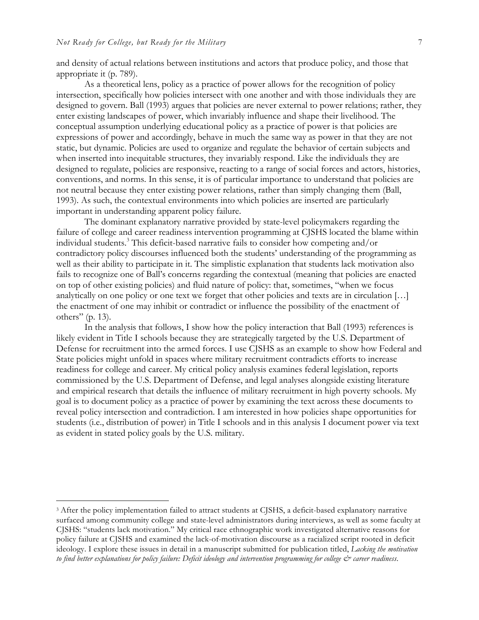and density of actual relations between institutions and actors that produce policy, and those that appropriate it (p. 789).

As a theoretical lens, policy as a practice of power allows for the recognition of policy intersection, specifically how policies intersect with one another and with those individuals they are designed to govern. Ball (1993) argues that policies are never external to power relations; rather, they enter existing landscapes of power, which invariably influence and shape their livelihood. The conceptual assumption underlying educational policy as a practice of power is that policies are expressions of power and accordingly, behave in much the same way as power in that they are not static, but dynamic. Policies are used to organize and regulate the behavior of certain subjects and when inserted into inequitable structures, they invariably respond. Like the individuals they are designed to regulate, policies are responsive, reacting to a range of social forces and actors, histories, conventions, and norms. In this sense, it is of particular importance to understand that policies are not neutral because they enter existing power relations, rather than simply changing them (Ball, 1993). As such, the contextual environments into which policies are inserted are particularly important in understanding apparent policy failure.

The dominant explanatory narrative provided by state-level policymakers regarding the failure of college and career readiness intervention programming at CJSHS located the blame within individual students.3 This deficit-based narrative fails to consider how competing and/or contradictory policy discourses influenced both the students' understanding of the programming as well as their ability to participate in it. The simplistic explanation that students lack motivation also fails to recognize one of Ball's concerns regarding the contextual (meaning that policies are enacted on top of other existing policies) and fluid nature of policy: that, sometimes, "when we focus analytically on one policy or one text we forget that other policies and texts are in circulation […] the enactment of one may inhibit or contradict or influence the possibility of the enactment of others" (p. 13).

In the analysis that follows, I show how the policy interaction that Ball (1993) references is likely evident in Title I schools because they are strategically targeted by the U.S. Department of Defense for recruitment into the armed forces. I use CJSHS as an example to show how Federal and State policies might unfold in spaces where military recruitment contradicts efforts to increase readiness for college and career. My critical policy analysis examines federal legislation, reports commissioned by the U.S. Department of Defense, and legal analyses alongside existing literature and empirical research that details the influence of military recruitment in high poverty schools. My goal is to document policy as a practice of power by examining the text across these documents to reveal policy intersection and contradiction. I am interested in how policies shape opportunities for students (i.e., distribution of power) in Title I schools and in this analysis I document power via text as evident in stated policy goals by the U.S. military.

 <sup>3</sup> After the policy implementation failed to attract students at CJSHS, a deficit-based explanatory narrative surfaced among community college and state-level administrators during interviews, as well as some faculty at CJSHS: "students lack motivation." My critical race ethnographic work investigated alternative reasons for policy failure at CJSHS and examined the lack-of-motivation discourse as a racialized script rooted in deficit ideology. I explore these issues in detail in a manuscript submitted for publication titled, *Lacking the motivation to find better explanations for policy failure: Deficit ideology and intervention programming for college & career readiness*.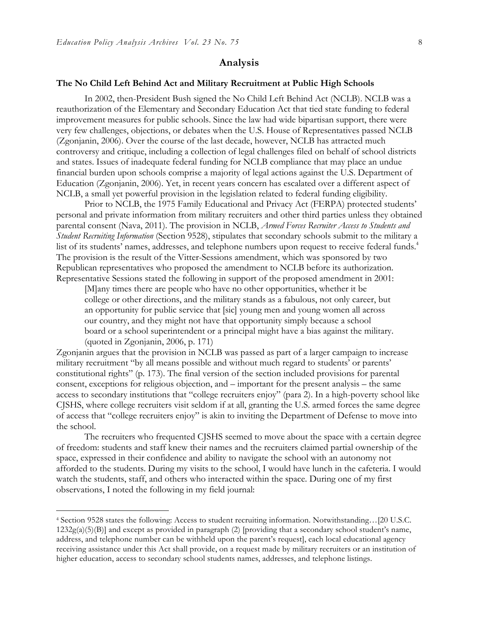#### **Analysis**

#### **The No Child Left Behind Act and Military Recruitment at Public High Schools**

In 2002, then-President Bush signed the No Child Left Behind Act (NCLB). NCLB was a reauthorization of the Elementary and Secondary Education Act that tied state funding to federal improvement measures for public schools. Since the law had wide bipartisan support, there were very few challenges, objections, or debates when the U.S. House of Representatives passed NCLB (Zgonjanin, 2006). Over the course of the last decade, however, NCLB has attracted much controversy and critique, including a collection of legal challenges filed on behalf of school districts and states. Issues of inadequate federal funding for NCLB compliance that may place an undue financial burden upon schools comprise a majority of legal actions against the U.S. Department of Education (Zgonjanin, 2006). Yet, in recent years concern has escalated over a different aspect of NCLB, a small yet powerful provision in the legislation related to federal funding eligibility.

Prior to NCLB, the 1975 Family Educational and Privacy Act (FERPA) protected students' personal and private information from military recruiters and other third parties unless they obtained parental consent (Nava, 2011). The provision in NCLB, *Armed Forces Recruiter Access to Students and Student Recruiting Information* (Section 9528), stipulates that secondary schools submit to the military a list of its students' names, addresses, and telephone numbers upon request to receive federal funds.<sup>4</sup> The provision is the result of the Vitter-Sessions amendment, which was sponsored by two Republican representatives who proposed the amendment to NCLB before its authorization. Representative Sessions stated the following in support of the proposed amendment in 2001:

[M]any times there are people who have no other opportunities, whether it be college or other directions, and the military stands as a fabulous, not only career, but an opportunity for public service that [sic] young men and young women all across our country, and they might not have that opportunity simply because a school board or a school superintendent or a principal might have a bias against the military. (quoted in Zgonjanin, 2006, p. 171)

Zgonjanin argues that the provision in NCLB was passed as part of a larger campaign to increase military recruitment "by all means possible and without much regard to students' or parents' constitutional rights" (p. 173). The final version of the section included provisions for parental consent, exceptions for religious objection, and – important for the present analysis – the same access to secondary institutions that "college recruiters enjoy" (para 2). In a high-poverty school like CJSHS, where college recruiters visit seldom if at all, granting the U.S. armed forces the same degree of access that "college recruiters enjoy" is akin to inviting the Department of Defense to move into the school.

The recruiters who frequented CJSHS seemed to move about the space with a certain degree of freedom: students and staff knew their names and the recruiters claimed partial ownership of the space, expressed in their confidence and ability to navigate the school with an autonomy not afforded to the students. During my visits to the school, I would have lunch in the cafeteria. I would watch the students, staff, and others who interacted within the space. During one of my first observations, I noted the following in my field journal:

 <sup>4</sup> Section 9528 states the following: Access to student recruiting information. Notwithstanding…[20 U.S.C.  $1232g(a)(5)(B)$ ] and except as provided in paragraph (2) [providing that a secondary school student's name, address, and telephone number can be withheld upon the parent's request], each local educational agency receiving assistance under this Act shall provide, on a request made by military recruiters or an institution of higher education, access to secondary school students names, addresses, and telephone listings.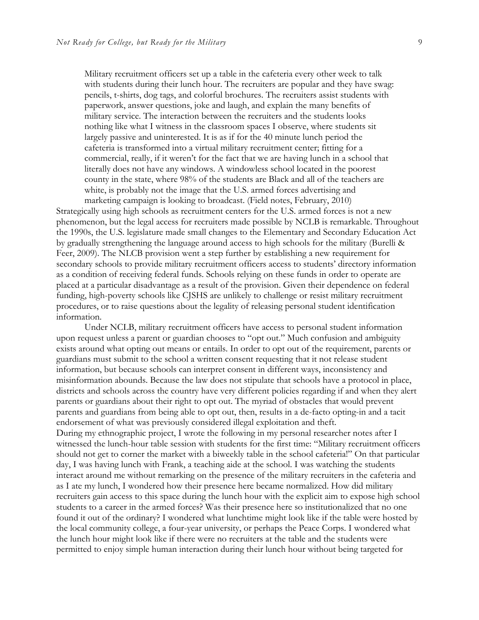Military recruitment officers set up a table in the cafeteria every other week to talk with students during their lunch hour. The recruiters are popular and they have swag: pencils, t-shirts, dog tags, and colorful brochures. The recruiters assist students with paperwork, answer questions, joke and laugh, and explain the many benefits of military service. The interaction between the recruiters and the students looks nothing like what I witness in the classroom spaces I observe, where students sit largely passive and uninterested. It is as if for the 40 minute lunch period the cafeteria is transformed into a virtual military recruitment center; fitting for a commercial, really, if it weren't for the fact that we are having lunch in a school that literally does not have any windows. A windowless school located in the poorest county in the state, where 98% of the students are Black and all of the teachers are white, is probably not the image that the U.S. armed forces advertising and marketing campaign is looking to broadcast. (Field notes, February, 2010)

Strategically using high schools as recruitment centers for the U.S. armed forces is not a new phenomenon, but the legal access for recruiters made possible by NCLB is remarkable. Throughout the 1990s, the U.S. legislature made small changes to the Elementary and Secondary Education Act by gradually strengthening the language around access to high schools for the military (Burelli & Feer, 2009). The NLCB provision went a step further by establishing a new requirement for secondary schools to provide military recruitment officers access to students' directory information as a condition of receiving federal funds. Schools relying on these funds in order to operate are placed at a particular disadvantage as a result of the provision. Given their dependence on federal funding, high-poverty schools like CJSHS are unlikely to challenge or resist military recruitment procedures, or to raise questions about the legality of releasing personal student identification information.

Under NCLB, military recruitment officers have access to personal student information upon request unless a parent or guardian chooses to "opt out." Much confusion and ambiguity exists around what opting out means or entails. In order to opt out of the requirement, parents or guardians must submit to the school a written consent requesting that it not release student information, but because schools can interpret consent in different ways, inconsistency and misinformation abounds. Because the law does not stipulate that schools have a protocol in place, districts and schools across the country have very different policies regarding if and when they alert parents or guardians about their right to opt out. The myriad of obstacles that would prevent parents and guardians from being able to opt out, then, results in a de-facto opting-in and a tacit endorsement of what was previously considered illegal exploitation and theft. During my ethnographic project, I wrote the following in my personal researcher notes after I witnessed the lunch-hour table session with students for the first time: "Military recruitment officers should not get to corner the market with a biweekly table in the school cafeteria!" On that particular day, I was having lunch with Frank, a teaching aide at the school. I was watching the students interact around me without remarking on the presence of the military recruiters in the cafeteria and as I ate my lunch, I wondered how their presence here became normalized. How did military recruiters gain access to this space during the lunch hour with the explicit aim to expose high school students to a career in the armed forces? Was their presence here so institutionalized that no one found it out of the ordinary? I wondered what lunchtime might look like if the table were hosted by the local community college, a four-year university, or perhaps the Peace Corps. I wondered what the lunch hour might look like if there were no recruiters at the table and the students were permitted to enjoy simple human interaction during their lunch hour without being targeted for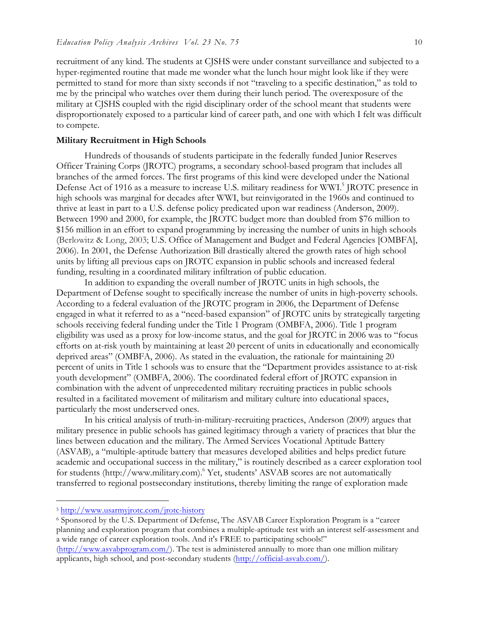recruitment of any kind. The students at CJSHS were under constant surveillance and subjected to a hyper-regimented routine that made me wonder what the lunch hour might look like if they were permitted to stand for more than sixty seconds if not "traveling to a specific destination," as told to me by the principal who watches over them during their lunch period. The overexposure of the military at CJSHS coupled with the rigid disciplinary order of the school meant that students were disproportionately exposed to a particular kind of career path, and one with which I felt was difficult to compete.

#### **Military Recruitment in High Schools**

Hundreds of thousands of students participate in the federally funded Junior Reserves Officer Training Corps (JROTC) programs, a secondary school-based program that includes all branches of the armed forces. The first programs of this kind were developed under the National Defense Act of 1916 as a measure to increase U.S. military readiness for WWI.<sup>5</sup> JROTC presence in high schools was marginal for decades after WWI, but reinvigorated in the 1960s and continued to thrive at least in part to a U.S. defense policy predicated upon war readiness (Anderson, 2009). Between 1990 and 2000, for example, the JROTC budget more than doubled from \$76 million to \$156 million in an effort to expand programming by increasing the number of units in high schools (Berlowitz & Long, 2003; U.S. Office of Management and Budget and Federal Agencies [OMBFA], 2006). In 2001, the Defense Authorization Bill drastically altered the growth rates of high school units by lifting all previous caps on JROTC expansion in public schools and increased federal funding, resulting in a coordinated military infiltration of public education.

In addition to expanding the overall number of JROTC units in high schools, the Department of Defense sought to specifically increase the number of units in high-poverty schools. According to a federal evaluation of the JROTC program in 2006, the Department of Defense engaged in what it referred to as a "need-based expansion" of JROTC units by strategically targeting schools receiving federal funding under the Title 1 Program (OMBFA, 2006). Title 1 program eligibility was used as a proxy for low-income status, and the goal for JROTC in 2006 was to "focus efforts on at-risk youth by maintaining at least 20 percent of units in educationally and economically deprived areas" (OMBFA, 2006). As stated in the evaluation, the rationale for maintaining 20 percent of units in Title 1 schools was to ensure that the "Department provides assistance to at-risk youth development" (OMBFA, 2006). The coordinated federal effort of JROTC expansion in combination with the advent of unprecedented military recruiting practices in public schools resulted in a facilitated movement of militarism and military culture into educational spaces, particularly the most underserved ones.

In his critical analysis of truth-in-military-recruiting practices, Anderson (2009) argues that military presence in public schools has gained legitimacy through a variety of practices that blur the lines between education and the military. The Armed Services Vocational Aptitude Battery (ASVAB), a "multiple-aptitude battery that measures developed abilities and helps predict future academic and occupational success in the military," is routinely described as a career exploration tool for students (http://www.military.com).<sup>6</sup> Yet, students' ASVAB scores are not automatically transferred to regional postsecondary institutions, thereby limiting the range of exploration made

 <sup>5</sup> http://www.usarmyjrotc.com/jrotc-history

<sup>6</sup> Sponsored by the U.S. Department of Defense, The ASVAB Career Exploration Program is a "career planning and exploration program that combines a multiple-aptitude test with an interest self-assessment and a wide range of career exploration tools. And it's FREE to participating schools!"

<sup>(</sup>http://www.asvabprogram.com/). The test is administered annually to more than one million military applicants, high school, and post-secondary students (http://official-asvab.com/).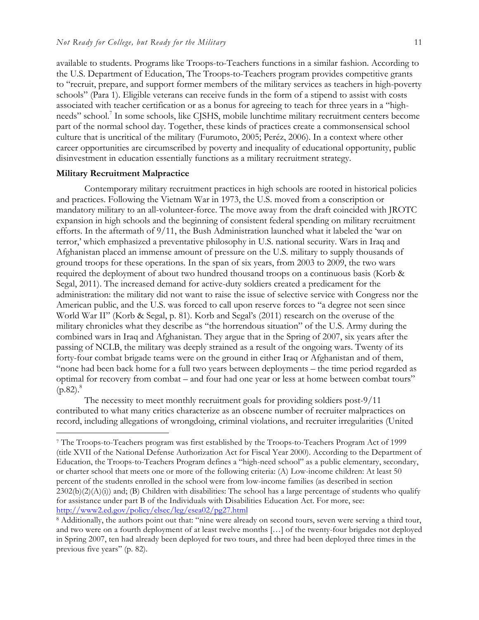available to students. Programs like Troops-to-Teachers functions in a similar fashion. According to the U.S. Department of Education, The Troops-to-Teachers program provides competitive grants to "recruit, prepare, and support former members of the military services as teachers in high-poverty schools" (Para 1). Eligible veterans can receive funds in the form of a stipend to assist with costs associated with teacher certification or as a bonus for agreeing to teach for three years in a "highneeds" school.7 In some schools, like CJSHS, mobile lunchtime military recruitment centers become part of the normal school day. Together, these kinds of practices create a commonsensical school culture that is uncritical of the military (Furumoto, 2005; Peréz, 2006). In a context where other career opportunities are circumscribed by poverty and inequality of educational opportunity, public disinvestment in education essentially functions as a military recruitment strategy.

#### **Military Recruitment Malpractice**

Contemporary military recruitment practices in high schools are rooted in historical policies and practices. Following the Vietnam War in 1973, the U.S. moved from a conscription or mandatory military to an all-volunteer-force. The move away from the draft coincided with JROTC expansion in high schools and the beginning of consistent federal spending on military recruitment efforts. In the aftermath of 9/11, the Bush Administration launched what it labeled the 'war on terror,' which emphasized a preventative philosophy in U.S. national security. Wars in Iraq and Afghanistan placed an immense amount of pressure on the U.S. military to supply thousands of ground troops for these operations. In the span of six years, from 2003 to 2009, the two wars required the deployment of about two hundred thousand troops on a continuous basis (Korb & Segal, 2011). The increased demand for active-duty soldiers created a predicament for the administration: the military did not want to raise the issue of selective service with Congress nor the American public, and the U.S. was forced to call upon reserve forces to "a degree not seen since World War II" (Korb & Segal, p. 81). Korb and Segal's (2011) research on the overuse of the military chronicles what they describe as "the horrendous situation" of the U.S. Army during the combined wars in Iraq and Afghanistan. They argue that in the Spring of 2007, six years after the passing of NCLB, the military was deeply strained as a result of the ongoing wars. Twenty of its forty-four combat brigade teams were on the ground in either Iraq or Afghanistan and of them, "none had been back home for a full two years between deployments – the time period regarded as optimal for recovery from combat – and four had one year or less at home between combat tours"  $(p.82)^8$ 

The necessity to meet monthly recruitment goals for providing soldiers post-9/11 contributed to what many critics characterize as an obscene number of recruiter malpractices on record, including allegations of wrongdoing, criminal violations, and recruiter irregularities (United

 <sup>7</sup> The Troops-to-Teachers program was first established by the Troops-to-Teachers Program Act of 1999 (title XVII of the National Defense Authorization Act for Fiscal Year 2000). According to the Department of Education, the Troops-to-Teachers Program defines a "high-need school" as a public elementary, secondary, or charter school that meets one or more of the following criteria: (A) Low-income children: At least 50 percent of the students enrolled in the school were from low-income families (as described in section  $2302(b)(2)(A)(i)$  and; (B) Children with disabilities: The school has a large percentage of students who qualify for assistance under part B of the Individuals with Disabilities Education Act. For more, see: http://www2.ed.gov/policy/elsec/leg/esea02/pg27.html

<sup>8</sup> Additionally, the authors point out that: "nine were already on second tours, seven were serving a third tour, and two were on a fourth deployment of at least twelve months […] of the twenty-four brigades not deployed in Spring 2007, ten had already been deployed for two tours, and three had been deployed three times in the previous five years" (p. 82).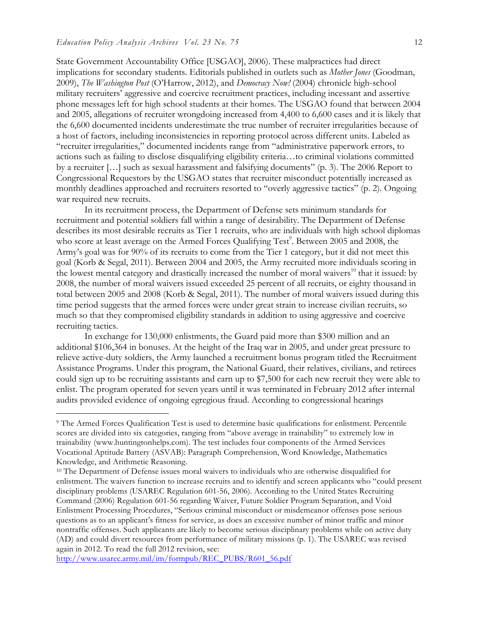State Government Accountability Office [USGAO], 2006). These malpractices had direct implications for secondary students. Editorials published in outlets such as *Mother Jones* (Goodman, 2009), *The Washington Post* (O'Harrow, 2012), and *Democracy Now!* (2004) chronicle high-school military recruiters' aggressive and coercive recruitment practices, including incessant and assertive phone messages left for high school students at their homes. The USGAO found that between 2004 and 2005, allegations of recruiter wrongdoing increased from 4,400 to 6,600 cases and it is likely that the 6,600 documented incidents underestimate the true number of recruiter irregularities because of a host of factors, including inconsistencies in reporting protocol across different units. Labeled as "recruiter irregularities," documented incidents range from "administrative paperwork errors, to actions such as failing to disclose disqualifying eligibility criteria…to criminal violations committed by a recruiter […] such as sexual harassment and falsifying documents" (p. 3). The 2006 Report to Congressional Requestors by the USGAO states that recruiter misconduct potentially increased as monthly deadlines approached and recruiters resorted to "overly aggressive tactics" (p. 2). Ongoing war required new recruits.

In its recruitment process, the Department of Defense sets minimum standards for recruitment and potential soldiers fall within a range of desirability. The Department of Defense describes its most desirable recruits as Tier 1 recruits, who are individuals with high school diplomas who score at least average on the Armed Forces Qualifying Test<sup>9</sup>. Between 2005 and 2008, the Army's goal was for 90% of its recruits to come from the Tier 1 category, but it did not meet this goal (Korb & Segal, 2011). Between 2004 and 2005, the Army recruited more individuals scoring in the lowest mental category and drastically increased the number of moral waivers<sup>10</sup> that it issued: by 2008, the number of moral waivers issued exceeded 25 percent of all recruits, or eighty thousand in total between 2005 and 2008 (Korb & Segal, 2011). The number of moral waivers issued during this time period suggests that the armed forces were under great strain to increase civilian recruits, so much so that they compromised eligibility standards in addition to using aggressive and coercive recruiting tactics.

In exchange for 130,000 enlistments, the Guard paid more than \$300 million and an additional \$106,364 in bonuses. At the height of the Iraq war in 2005, and under great pressure to relieve active-duty soldiers, the Army launched a recruitment bonus program titled the Recruitment Assistance Programs. Under this program, the National Guard, their relatives, civilians, and retirees could sign up to be recruiting assistants and earn up to \$7,500 for each new recruit they were able to enlist. The program operated for seven years until it was terminated in February 2012 after internal audits provided evidence of ongoing egregious fraud. According to congressional hearings

http://www.usarec.army.mil/im/formpub/REC\_PUBS/R601\_56.pdf

 <sup>9</sup> The Armed Forces Qualification Test is used to determine basic qualifications for enlistment. Percentile scores are divided into six categories, ranging from "above average in trainability" to extremely low in trainability (www.huntingtonhelps.com). The test includes four components of the Armed Services Vocational Aptitude Battery (ASVAB): Paragraph Comprehension, Word Knowledge, Mathematics Knowledge, and Arithmetic Reasoning.

<sup>&</sup>lt;sup>10</sup> The Department of Defense issues moral waivers to individuals who are otherwise disqualified for enlistment. The waivers function to increase recruits and to identify and screen applicants who "could present disciplinary problems (USAREC Regulation 601-56, 2006). According to the United States Recruiting Command (2006) Regulation 601-56 regarding Waiver, Future Soldier Program Separation, and Void Enlistment Processing Procedures, "Serious criminal misconduct or misdemeanor offenses pose serious questions as to an applicant's fitness for service, as does an excessive number of minor traffic and minor nontraffic offenses. Such applicants are likely to become serious disciplinary problems while on active duty (AD) and could divert resources from performance of military missions (p. 1). The USAREC was revised again in 2012. To read the full 2012 revision, see: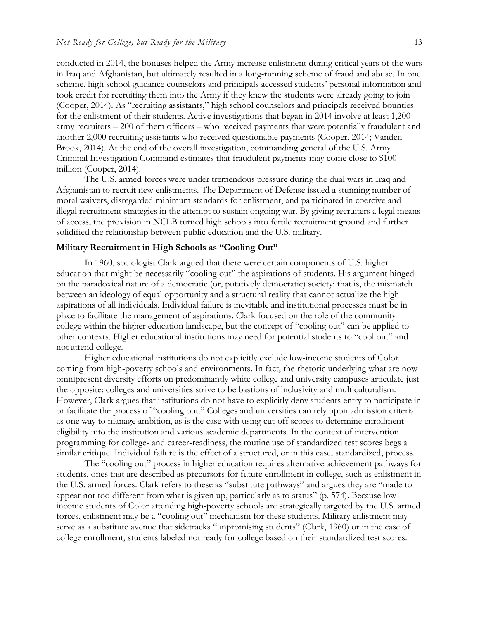conducted in 2014, the bonuses helped the Army increase enlistment during critical years of the wars in Iraq and Afghanistan, but ultimately resulted in a long-running scheme of fraud and abuse. In one scheme, high school guidance counselors and principals accessed students' personal information and took credit for recruiting them into the Army if they knew the students were already going to join (Cooper, 2014). As "recruiting assistants," high school counselors and principals received bounties for the enlistment of their students. Active investigations that began in 2014 involve at least 1,200 army recruiters – 200 of them officers – who received payments that were potentially fraudulent and another 2,000 recruiting assistants who received questionable payments (Cooper, 2014; Vanden Brook, 2014). At the end of the overall investigation, commanding general of the U.S. Army Criminal Investigation Command estimates that fraudulent payments may come close to \$100 million (Cooper, 2014).

The U.S. armed forces were under tremendous pressure during the dual wars in Iraq and Afghanistan to recruit new enlistments. The Department of Defense issued a stunning number of moral waivers, disregarded minimum standards for enlistment, and participated in coercive and illegal recruitment strategies in the attempt to sustain ongoing war. By giving recruiters a legal means of access, the provision in NCLB turned high schools into fertile recruitment ground and further solidified the relationship between public education and the U.S. military.

#### **Military Recruitment in High Schools as "Cooling Out"**

In 1960, sociologist Clark argued that there were certain components of U.S. higher education that might be necessarily "cooling out" the aspirations of students. His argument hinged on the paradoxical nature of a democratic (or, putatively democratic) society: that is, the mismatch between an ideology of equal opportunity and a structural reality that cannot actualize the high aspirations of all individuals. Individual failure is inevitable and institutional processes must be in place to facilitate the management of aspirations. Clark focused on the role of the community college within the higher education landscape, but the concept of "cooling out" can be applied to other contexts. Higher educational institutions may need for potential students to "cool out" and not attend college.

Higher educational institutions do not explicitly exclude low-income students of Color coming from high-poverty schools and environments. In fact, the rhetoric underlying what are now omnipresent diversity efforts on predominantly white college and university campuses articulate just the opposite: colleges and universities strive to be bastions of inclusivity and multiculturalism. However, Clark argues that institutions do not have to explicitly deny students entry to participate in or facilitate the process of "cooling out." Colleges and universities can rely upon admission criteria as one way to manage ambition, as is the case with using cut-off scores to determine enrollment eligibility into the institution and various academic departments. In the context of intervention programming for college- and career-readiness, the routine use of standardized test scores begs a similar critique. Individual failure is the effect of a structured, or in this case, standardized, process.

The "cooling out" process in higher education requires alternative achievement pathways for students, ones that are described as precursors for future enrollment in college, such as enlistment in the U.S. armed forces. Clark refers to these as "substitute pathways" and argues they are "made to appear not too different from what is given up, particularly as to status" (p. 574). Because lowincome students of Color attending high-poverty schools are strategically targeted by the U.S. armed forces, enlistment may be a "cooling out" mechanism for these students. Military enlistment may serve as a substitute avenue that sidetracks "unpromising students" (Clark, 1960) or in the case of college enrollment, students labeled not ready for college based on their standardized test scores.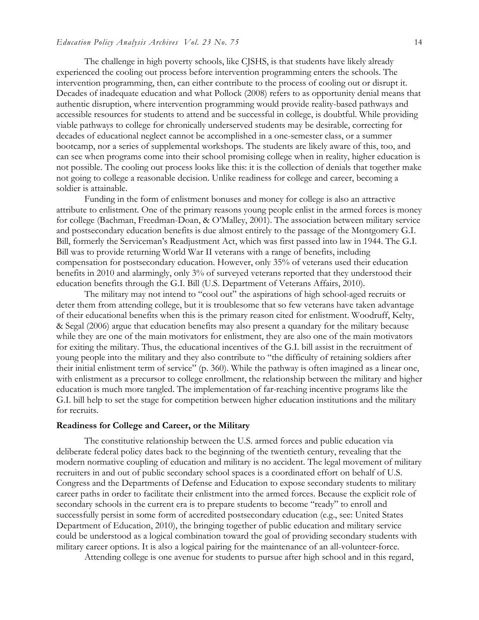The challenge in high poverty schools, like CJSHS, is that students have likely already experienced the cooling out process before intervention programming enters the schools. The intervention programming, then, can either contribute to the process of cooling out or disrupt it. Decades of inadequate education and what Pollock (2008) refers to as opportunity denial means that authentic disruption, where intervention programming would provide reality-based pathways and accessible resources for students to attend and be successful in college, is doubtful. While providing viable pathways to college for chronically underserved students may be desirable, correcting for decades of educational neglect cannot be accomplished in a one-semester class, or a summer bootcamp, nor a series of supplemental workshops. The students are likely aware of this, too, and can see when programs come into their school promising college when in reality, higher education is not possible. The cooling out process looks like this: it is the collection of denials that together make not going to college a reasonable decision. Unlike readiness for college and career, becoming a soldier is attainable.

Funding in the form of enlistment bonuses and money for college is also an attractive attribute to enlistment. One of the primary reasons young people enlist in the armed forces is money for college (Bachman, Freedman-Doan, & O'Malley, 2001). The association between military service and postsecondary education benefits is due almost entirely to the passage of the Montgomery G.I. Bill, formerly the Serviceman's Readjustment Act, which was first passed into law in 1944. The G.I. Bill was to provide returning World War II veterans with a range of benefits, including compensation for postsecondary education. However, only 35% of veterans used their education benefits in 2010 and alarmingly, only 3% of surveyed veterans reported that they understood their education benefits through the G.I. Bill (U.S. Department of Veterans Affairs, 2010).

The military may not intend to "cool out" the aspirations of high school-aged recruits or deter them from attending college, but it is troublesome that so few veterans have taken advantage of their educational benefits when this is the primary reason cited for enlistment. Woodruff, Kelty, & Segal (2006) argue that education benefits may also present a quandary for the military because while they are one of the main motivators for enlistment, they are also one of the main motivators for exiting the military. Thus, the educational incentives of the G.I. bill assist in the recruitment of young people into the military and they also contribute to "the difficulty of retaining soldiers after their initial enlistment term of service" (p. 360). While the pathway is often imagined as a linear one, with enlistment as a precursor to college enrollment, the relationship between the military and higher education is much more tangled. The implementation of far-reaching incentive programs like the G.I. bill help to set the stage for competition between higher education institutions and the military for recruits.

#### **Readiness for College and Career, or the Military**

The constitutive relationship between the U.S. armed forces and public education via deliberate federal policy dates back to the beginning of the twentieth century, revealing that the modern normative coupling of education and military is no accident. The legal movement of military recruiters in and out of public secondary school spaces is a coordinated effort on behalf of U.S. Congress and the Departments of Defense and Education to expose secondary students to military career paths in order to facilitate their enlistment into the armed forces. Because the explicit role of secondary schools in the current era is to prepare students to become "ready" to enroll and successfully persist in some form of accredited postsecondary education (e.g., see: United States Department of Education, 2010), the bringing together of public education and military service could be understood as a logical combination toward the goal of providing secondary students with military career options. It is also a logical pairing for the maintenance of an all-volunteer-force.

Attending college is one avenue for students to pursue after high school and in this regard,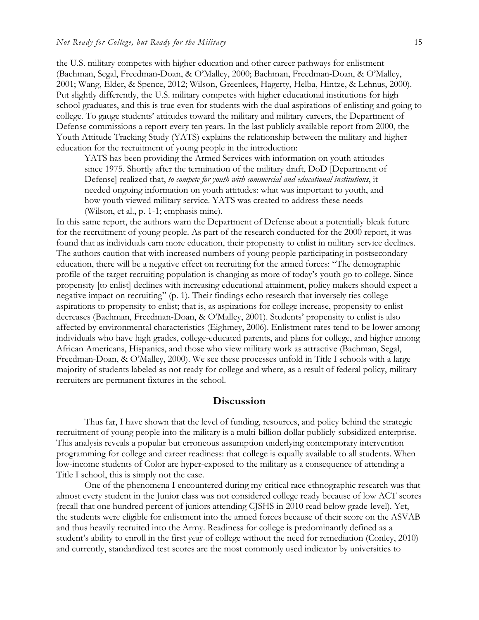the U.S. military competes with higher education and other career pathways for enlistment (Bachman, Segal, Freedman-Doan, & O'Malley, 2000; Bachman, Freedman-Doan, & O'Malley, 2001; Wang, Elder, & Spence, 2012; Wilson, Greenlees, Hagerty, Helba, Hintze, & Lehnus, 2000). Put slightly differently, the U.S. military competes with higher educational institutions for high school graduates, and this is true even for students with the dual aspirations of enlisting and going to college. To gauge students' attitudes toward the military and military careers, the Department of Defense commissions a report every ten years. In the last publicly available report from 2000, the Youth Attitude Tracking Study (YATS) explains the relationship between the military and higher education for the recruitment of young people in the introduction:

YATS has been providing the Armed Services with information on youth attitudes since 1975. Shortly after the termination of the military draft, DoD [Department of Defense] realized that, *to compete for youth with commercial and educational institutions*, it needed ongoing information on youth attitudes: what was important to youth, and how youth viewed military service. YATS was created to address these needs (Wilson, et al., p. 1-1; emphasis mine).

In this same report, the authors warn the Department of Defense about a potentially bleak future for the recruitment of young people. As part of the research conducted for the 2000 report, it was found that as individuals earn more education, their propensity to enlist in military service declines. The authors caution that with increased numbers of young people participating in postsecondary education, there will be a negative effect on recruiting for the armed forces: "The demographic profile of the target recruiting population is changing as more of today's youth go to college. Since propensity [to enlist] declines with increasing educational attainment, policy makers should expect a negative impact on recruiting" (p. 1). Their findings echo research that inversely ties college aspirations to propensity to enlist; that is, as aspirations for college increase, propensity to enlist decreases (Bachman, Freedman-Doan, & O'Malley, 2001). Students' propensity to enlist is also affected by environmental characteristics (Eighmey, 2006). Enlistment rates tend to be lower among individuals who have high grades, college-educated parents, and plans for college, and higher among African Americans, Hispanics, and those who view military work as attractive (Bachman, Segal, Freedman-Doan, & O'Malley, 2000). We see these processes unfold in Title I schools with a large majority of students labeled as not ready for college and where, as a result of federal policy, military recruiters are permanent fixtures in the school.

#### **Discussion**

Thus far, I have shown that the level of funding, resources, and policy behind the strategic recruitment of young people into the military is a multi-billion dollar publicly-subsidized enterprise. This analysis reveals a popular but erroneous assumption underlying contemporary intervention programming for college and career readiness: that college is equally available to all students. When low-income students of Color are hyper-exposed to the military as a consequence of attending a Title I school, this is simply not the case.

One of the phenomena I encountered during my critical race ethnographic research was that almost every student in the Junior class was not considered college ready because of low ACT scores (recall that one hundred percent of juniors attending CJSHS in 2010 read below grade-level). Yet, the students were eligible for enlistment into the armed forces because of their score on the ASVAB and thus heavily recruited into the Army. Readiness for college is predominantly defined as a student's ability to enroll in the first year of college without the need for remediation (Conley, 2010) and currently, standardized test scores are the most commonly used indicator by universities to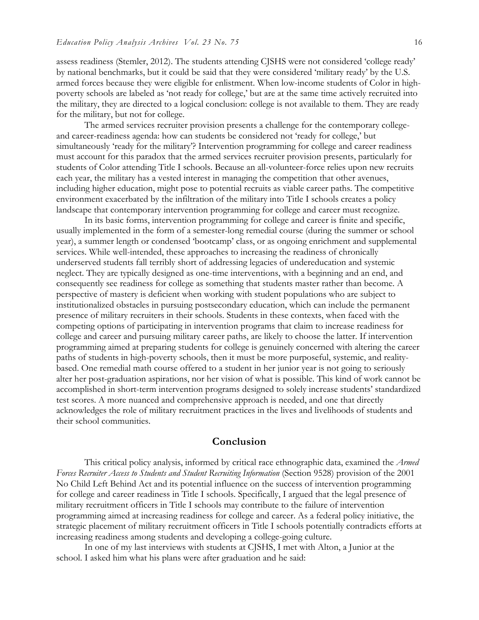assess readiness (Stemler, 2012). The students attending CJSHS were not considered 'college ready' by national benchmarks, but it could be said that they were considered 'military ready' by the U.S. armed forces because they were eligible for enlistment. When low-income students of Color in highpoverty schools are labeled as 'not ready for college,' but are at the same time actively recruited into the military, they are directed to a logical conclusion: college is not available to them. They are ready for the military, but not for college.

The armed services recruiter provision presents a challenge for the contemporary collegeand career-readiness agenda: how can students be considered not 'ready for college,' but simultaneously 'ready for the military'? Intervention programming for college and career readiness must account for this paradox that the armed services recruiter provision presents, particularly for students of Color attending Title I schools. Because an all-volunteer-force relies upon new recruits each year, the military has a vested interest in managing the competition that other avenues, including higher education, might pose to potential recruits as viable career paths. The competitive environment exacerbated by the infiltration of the military into Title I schools creates a policy landscape that contemporary intervention programming for college and career must recognize.

In its basic forms, intervention programming for college and career is finite and specific, usually implemented in the form of a semester-long remedial course (during the summer or school year), a summer length or condensed 'bootcamp' class, or as ongoing enrichment and supplemental services. While well-intended, these approaches to increasing the readiness of chronically underserved students fall terribly short of addressing legacies of undereducation and systemic neglect. They are typically designed as one-time interventions, with a beginning and an end, and consequently see readiness for college as something that students master rather than become. A perspective of mastery is deficient when working with student populations who are subject to institutionalized obstacles in pursuing postsecondary education, which can include the permanent presence of military recruiters in their schools. Students in these contexts, when faced with the competing options of participating in intervention programs that claim to increase readiness for college and career and pursuing military career paths, are likely to choose the latter. If intervention programming aimed at preparing students for college is genuinely concerned with altering the career paths of students in high-poverty schools, then it must be more purposeful, systemic, and realitybased. One remedial math course offered to a student in her junior year is not going to seriously alter her post-graduation aspirations, nor her vision of what is possible. This kind of work cannot be accomplished in short-term intervention programs designed to solely increase students' standardized test scores. A more nuanced and comprehensive approach is needed, and one that directly acknowledges the role of military recruitment practices in the lives and livelihoods of students and their school communities.

#### **Conclusion**

This critical policy analysis, informed by critical race ethnographic data, examined the *Armed Forces Recruiter Access to Students and Student Recruiting Information* (Section 9528) provision of the 2001 No Child Left Behind Act and its potential influence on the success of intervention programming for college and career readiness in Title I schools. Specifically, I argued that the legal presence of military recruitment officers in Title I schools may contribute to the failure of intervention programming aimed at increasing readiness for college and career. As a federal policy initiative, the strategic placement of military recruitment officers in Title I schools potentially contradicts efforts at increasing readiness among students and developing a college-going culture.

In one of my last interviews with students at CJSHS, I met with Alton, a Junior at the school. I asked him what his plans were after graduation and he said: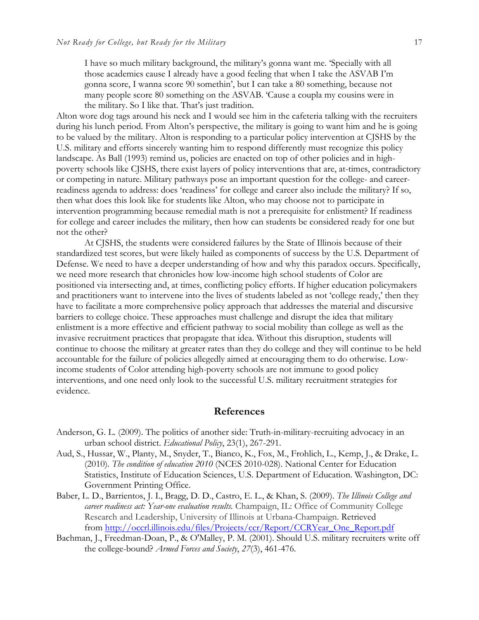I have so much military background, the military's gonna want me. 'Specially with all those academics cause I already have a good feeling that when I take the ASVAB I'm gonna score, I wanna score 90 somethin', but I can take a 80 something, because not many people score 80 something on the ASVAB. 'Cause a coupla my cousins were in the military. So I like that. That's just tradition.

Alton wore dog tags around his neck and I would see him in the cafeteria talking with the recruiters during his lunch period. From Alton's perspective, the military is going to want him and he is going to be valued by the military. Alton is responding to a particular policy intervention at CJSHS by the U.S. military and efforts sincerely wanting him to respond differently must recognize this policy landscape. As Ball (1993) remind us, policies are enacted on top of other policies and in highpoverty schools like CJSHS, there exist layers of policy interventions that are, at-times, contradictory or competing in nature. Military pathways pose an important question for the college- and careerreadiness agenda to address: does 'readiness' for college and career also include the military? If so, then what does this look like for students like Alton, who may choose not to participate in intervention programming because remedial math is not a prerequisite for enlistment? If readiness for college and career includes the military, then how can students be considered ready for one but not the other?

At CJSHS, the students were considered failures by the State of Illinois because of their standardized test scores, but were likely hailed as components of success by the U.S. Department of Defense. We need to have a deeper understanding of how and why this paradox occurs. Specifically, we need more research that chronicles how low-income high school students of Color are positioned via intersecting and, at times, conflicting policy efforts. If higher education policymakers and practitioners want to intervene into the lives of students labeled as not 'college ready,' then they have to facilitate a more comprehensive policy approach that addresses the material and discursive barriers to college choice. These approaches must challenge and disrupt the idea that military enlistment is a more effective and efficient pathway to social mobility than college as well as the invasive recruitment practices that propagate that idea. Without this disruption, students will continue to choose the military at greater rates than they do college and they will continue to be held accountable for the failure of policies allegedly aimed at encouraging them to do otherwise. Lowincome students of Color attending high-poverty schools are not immune to good policy interventions, and one need only look to the successful U.S. military recruitment strategies for evidence.

#### **References**

- Anderson, G. L. (2009). The politics of another side: Truth-in-military-recruiting advocacy in an urban school district. *Educational Policy*, 23(1), 267-291.
- Aud, S., Hussar, W., Planty, M., Snyder, T., Bianco, K., Fox, M., Frohlich, L., Kemp, J., & Drake, L. (2010). *The condition of education 2010* (NCES 2010-028). National Center for Education Statistics, Institute of Education Sciences, U.S. Department of Education. Washington, DC: Government Printing Office.
- Baber, L. D., Barrientos, J. I., Bragg, D. D., Castro, E. L., & Khan, S. (2009). *The Illinois College and career readiness act: Year-one evaluation results.* Champaign, IL: Office of Community College Research and Leadership, University of Illinois at Urbana-Champaign. Retrieved from http://occrl.illinois.edu/files/Projects/ccr/Report/CCRYear\_One\_Report.pdf
- Bachman, J., Freedman-Doan, P., & O'Malley, P. M. (2001). Should U.S. military recruiters write off the college-bound? *Armed Forces and Society*, *27*(3), 461-476.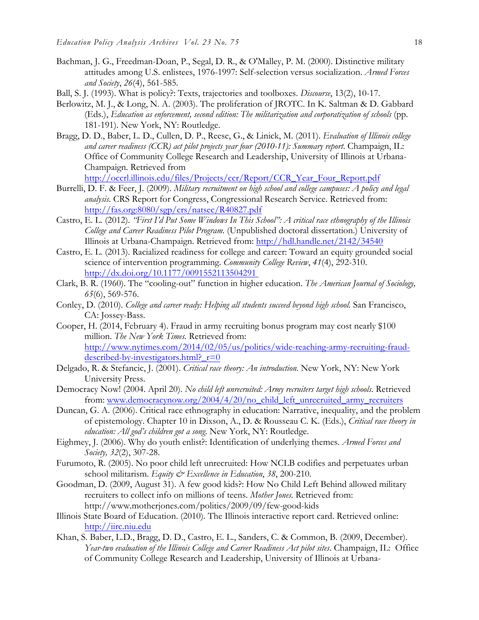- Bachman, J. G., Freedman-Doan, P., Segal, D. R., & O'Malley, P. M. (2000). Distinctive military attitudes among U.S. enlistees, 1976-1997: Self-selection versus socialization. *Armed Forces and Society*, *26*(4), 561-585.
- Ball, S. J. (1993). What is policy?: Texts, trajectories and toolboxes. *Discourse*, 13(2), 10-17.
- Berlowitz, M. J., & Long, N. A. (2003). The proliferation of JROTC. In K. Saltman & D. Gabbard (Eds.), *Education as enforcement, second edition: The militarization and corporatization of schools* (pp. 181-191). New York, NY: Routledge.
- Bragg, D. D., Baber, L. D., Cullen, D. P., Reese, G., & Linick, M. (2011). *Evaluation of Illinois college and career readiness (CCR) act pilot projects year four (2010-11): Summary report*. Champaign, IL: Office of Community College Research and Leadership, University of Illinois at Urbana-Champaign. Retrieved from

http://occrl.illinois.edu/files/Projects/ccr/Report/CCR\_Year\_Four\_Report.pdf

- Burrelli, D. F. & Feer, J. (2009). *Military recruitment on high school and college campuses: A policy and legal analysis.* CRS Report for Congress, Congressional Research Service. Retrieved from: http://fas.org:8080/sgp/crs/natsec/R40827.pdf
- Castro, E. L. (2012). *"First I'd Put Some Windows In This School": A critical race ethnography of the Illinois College and Career Readiness Pilot Program.* (Unpublished doctoral dissertation.) University of Illinois at Urbana-Champaign. Retrieved from: http://hdl.handle.net/2142/34540
- Castro, E. L. (2013). Racialized readiness for college and career: Toward an equity grounded social science of intervention programming. *Community College Review*, *41*(4), 292-310. http://dx.doi.org/10.1177/0091552113504291
- Clark, B. R. (1960). The "cooling-out" function in higher education. *The American Journal of Sociology, 65*(6), 569-576.
- Conley, D. (2010). *College and career ready: Helping all students succeed beyond high school.* San Francisco, CA: Jossey-Bass.
- Cooper, H. (2014, February 4). Fraud in army recruiting bonus program may cost nearly \$100 million. *The New York Times.* Retrieved from: http://www.nytimes.com/2014/02/05/us/politics/wide-reaching-army-recruiting-frauddescribed-by-investigators.html? $r=0$
- Delgado, R. & Stefancic, J. (2001). *Critical race theory: An introduction.* New York, NY: New York University Press.
- Democracy Now! (2004. April 20). *No child left unrecruited: Army recruiters target high schools.* Retrieved from: www.democracynow.org/2004/4/20/no\_child\_left\_unrecruited\_army\_recruiters
- Duncan, G. A. (2006). Critical race ethnography in education: Narrative, inequality, and the problem of epistemology. Chapter 10 in Dixson, A., D. & Rousseau C. K. (Eds.), *Critical race theory in education: All god's children got a song*. New York, NY: Routledge.
- Eighmey, J. (2006). Why do youth enlist?: Identification of underlying themes. *Armed Forces and Society, 32*(2), 307-28.
- Furumoto, R. (2005). No poor child left unrecruited: How NCLB codifies and perpetuates urban school militarism. *Equity & Excellence in Education*, *38*, 200-210.
- Goodman, D. (2009, August 31). A few good kids?: How No Child Left Behind allowed military recruiters to collect info on millions of teens. *Mother Jones.* Retrieved from: http://www.motherjones.com/politics/2009/09/few-good-kids
- Illinois State Board of Education. (2010). The Illinois interactive report card. Retrieved online: http://iirc.niu.edu
- Khan, S. Baber, L.D., Bragg, D. D., Castro, E. L., Sanders, C. & Common, B. (2009, December). *Year-two evaluation of the Illinois College and Career Readiness Act pilot sites*. Champaign, IL: Office of Community College Research and Leadership, University of Illinois at Urbana-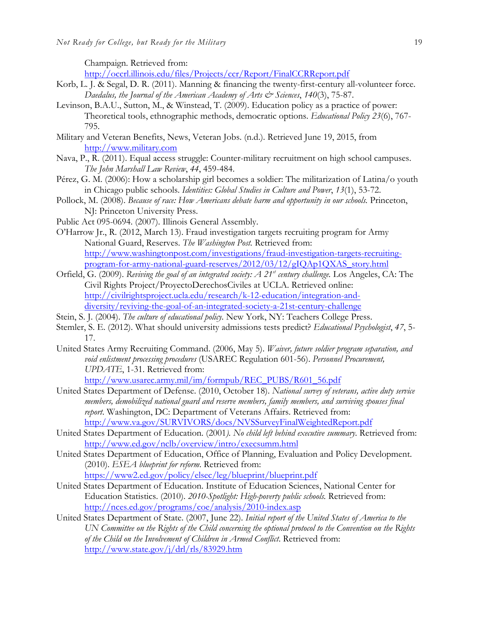Champaign. Retrieved from:

http://occrl.illinois.edu/files/Projects/ccr/Report/FinalCCRReport.pdf

- Korb, L. J. & Segal, D. R. (2011). Manning & financing the twenty-first-century all-volunteer force. *Daedalus, the Journal of the American Academy of Arts & Sciences*, *140*(3), 75-87.
- Levinson, B.A.U., Sutton, M., & Winstead, T. (2009). Education policy as a practice of power: Theoretical tools, ethnographic methods, democratic options. *Educational Policy 23*(6), 767- 795.
- Military and Veteran Benefits, News, Veteran Jobs. (n.d.). Retrieved June 19, 2015, from http://www.military.com
- Nava, P., R. (2011). Equal access struggle: Counter-military recruitment on high school campuses. *The John Marshall Law Review*, *44*, 459-484.
- Pérez, G. M. (2006): How a scholarship girl becomes a soldier: The militarization of Latina/o youth in Chicago public schools. *Identities: Global Studies in Culture and Power*, *13*(1), 53-72.
- Pollock, M. (2008). *Because of race: How Americans debate harm and opportunity in our schools.* Princeton, NJ: Princeton University Press.
- Public Act 095-0694. (2007). Illinois General Assembly.
- O'Harrow Jr., R. (2012, March 13). Fraud investigation targets recruiting program for Army National Guard, Reserves. *The Washington Post.* Retrieved from: http://www.washingtonpost.com/investigations/fraud-investigation-targets-recruitingprogram-for-army-national-guard-reserves/2012/03/12/gIQAp1QXAS\_story.html
- Orfield, G. (2009). *Reviving the goal of an integrated society: A 21<sup>st</sup> century challenge.* Los Angeles, CA: The Civil Rights Project/ProyectoDerechosCiviles at UCLA. Retrieved online: http://civilrightsproject.ucla.edu/research/k-12-education/integration-anddiversity/reviving-the-goal-of-an-integrated-society-a-21st-century-challenge
- Stein, S. J. (2004). *The culture of educational policy.* New York, NY: Teachers College Press.
- Stemler, S. E. (2012). What should university admissions tests predict? *Educational Psychologist*, *47*, 5- 17.
- United States Army Recruiting Command. (2006, May 5). *Waiver, future soldier program separation, and void enlistment processing procedures* (USAREC Regulation 601-56). *Personnel Procurement, UPDATE*, 1-31. Retrieved from:

http://www.usarec.army.mil/im/formpub/REC\_PUBS/R601\_56.pdf

- United States Department of Defense. (2010, October 18). *National survey of veterans, active duty service members, demobilized national guard and reserve members, family members, and surviving spouses final report*. Washington, DC: Department of Veterans Affairs. Retrieved from: http://www.va.gov/SURVIVORS/docs/NVSSurveyFinalWeightedReport.pdf
- United States Department of Education. (2001*). No child left behind executive summary*. Retrieved from: http://www.ed.gov/nclb/overview/intro/execsumm.html
- United States Department of Education, Office of Planning, Evaluation and Policy Development. (2010). *ESEA blueprint for reform*. Retrieved from: https://www2.ed.gov/policy/elsec/leg/blueprint/blueprint.pdf
- United States Department of Education. Institute of Education Sciences, National Center for Education Statistics. (2010). *2010-Spotlight: High-poverty public schools.* Retrieved from: http://nces.ed.gov/programs/coe/analysis/2010-index.asp
- United States Department of State. (2007, June 22). *Initial report of the United States of America to the UN Committee on the Rights of the Child concerning the optional protocol to the Convention on the Rights of the Child on the Involvement of Children in Armed Conflict*. Retrieved from: http://www.state.gov/j/drl/rls/83929.htm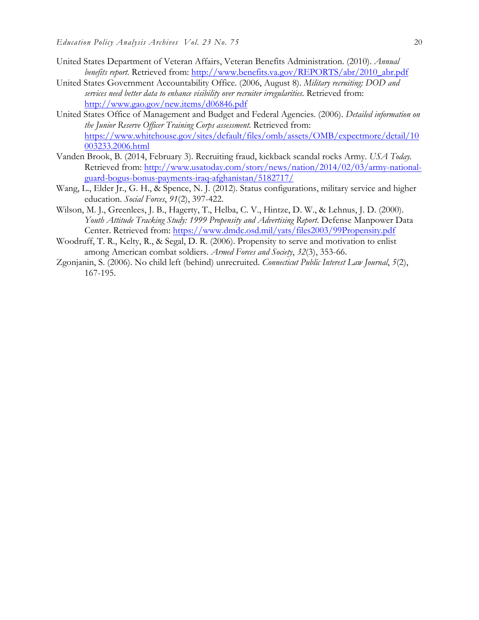- United States Department of Veteran Affairs, Veteran Benefits Administration. (2010). *Annual benefits report*. Retrieved from: http://www.benefits.va.gov/REPORTS/abr/2010\_abr.pdf
- United States Government Accountability Office. (2006, August 8). *Military recruiting: DOD and services need better data to enhance visibility over recruiter irregularities*. Retrieved from: http://www.gao.gov/new.items/d06846.pdf
- United States Office of Management and Budget and Federal Agencies. (2006). *Detailed information on the Junior Reserve Officer Training Corps assessment.* Retrieved from: https://www.whitehouse.gov/sites/default/files/omb/assets/OMB/expectmore/detail/10 003233.2006.html
- Vanden Brook, B. (2014, February 3). Recruiting fraud, kickback scandal rocks Army. *USA Today.*  Retrieved from: http://www.usatoday.com/story/news/nation/2014/02/03/army-nationalguard-bogus-bonus-payments-iraq-afghanistan/5182717/
- Wang, L., Elder Jr., G. H., & Spence, N. J. (2012). Status configurations, military service and higher education. *Social Forces*, *91*(2), 397-422.
- Wilson, M. J., Greenlees, J. B., Hagerty, T., Helba, C. V., Hintze, D. W., & Lehnus, J. D. (2000). *Youth Attitude Tracking Study: 1999 Propensity and Advertising Report*. Defense Manpower Data Center. Retrieved from: https://www.dmdc.osd.mil/yats/files2003/99Propensity.pdf
- Woodruff, T. R., Kelty, R., & Segal, D. R. (2006). Propensity to serve and motivation to enlist among American combat soldiers. *Armed Forces and Society*, *32*(3), 353-66.
- Zgonjanin, S. (2006). No child left (behind) unrecruited. *Connecticut Public Interest Law Journal*, *5*(2), 167-195.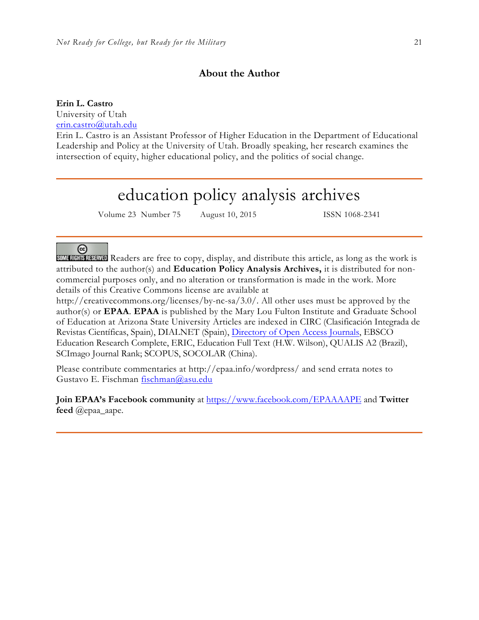## **About the Author**

**Erin L. Castro**

University of Utah erin.castro@utah.edu

Erin L. Castro is an Assistant Professor of Higher Education in the Department of Educational Leadership and Policy at the University of Utah. Broadly speaking, her research examines the intersection of equity, higher educational policy, and the politics of social change.

## education policy analysis archives

Volume 23 Number 75 August 10, 2015 ISSN 1068-2341

 $\left($ cc $\right)$ 

**SOME READERS ARRANGED** Readers are free to copy, display, and distribute this article, as long as the work is attributed to the author(s) and **Education Policy Analysis Archives,** it is distributed for noncommercial purposes only, and no alteration or transformation is made in the work. More details of this Creative Commons license are available at

http://creativecommons.org/licenses/by-nc-sa/3.0/. All other uses must be approved by the author(s) or **EPAA**. **EPAA** is published by the Mary Lou Fulton Institute and Graduate School of Education at Arizona State University Articles are indexed in CIRC (Clasificación Integrada de Revistas Científicas, Spain), DIALNET (Spain), Directory of Open Access Journals, EBSCO Education Research Complete, ERIC, Education Full Text (H.W. Wilson), QUALIS A2 (Brazil), SCImago Journal Rank; SCOPUS, SOCOLAR (China).

Please contribute commentaries at http://epaa.info/wordpress/ and send errata notes to Gustavo E. Fischman fischman@asu.edu

**Join EPAA's Facebook community** at https://www.facebook.com/EPAAAAPE and **Twitter feed** @epaa\_aape.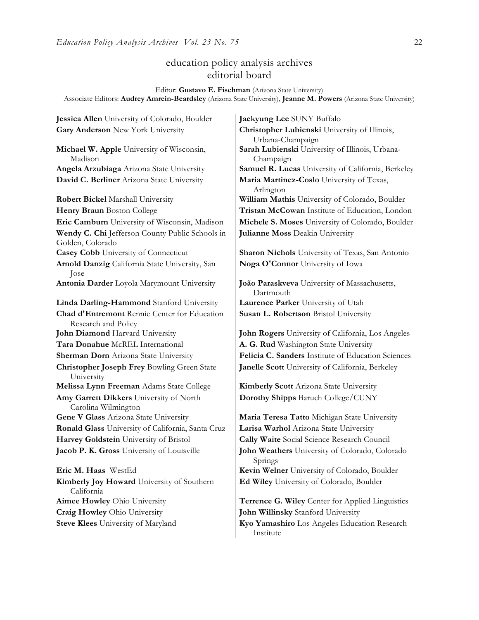## education policy analysis archives editorial board

Editor: **Gustavo E. Fischman** (Arizona State University) Associate Editors: **Audrey Amrein-Beardsley** (Arizona State University), **Jeanne M. Powers** (Arizona State University)

**Gary Anderson** New York University **Christopher Lubienski** University of Illinois, **Michael W. Apple** University of Wisconsin, Madison **David C. Berliner** Arizona State University | **Maria Martinez-Coslo** University of Texas, **Wendy C. Chi** Jefferson County Public Schools in Golden, Colorado **Casey Cobb** University of Connecticut **Sharon Nichols** University of Texas, San Antonio **Arnold Danzig** California State University, San Jose **Antonia Darder** Loyola Marymount University **João Paraskveva** University of Massachusetts, **Linda Darling-Hammond** Stanford University **Laurence Parker** University of Utah **Chad d'Entremont** Rennie Center for Education Research and Policy **John Diamond** Harvard University **John Rogers** University of California, Los Angeles **Tara Donahue** McREL International **A. G. Rud** Washington State University **Christopher Joseph Frey** Bowling Green State University **Melissa Lynn Freeman** Adams State College **Kimberly Scott** Arizona State University **Amy Garrett Dikkers** University of North Carolina Wilmington **Gene V Glass** Arizona State University **Maria Teresa Tatto** Michigan State University **Ronald Glass** University of California, Santa Cruz **Larisa Warhol** Arizona State University **Harvey Goldstein** University of Bristol **Cally Waite** Social Science Research Council

**Kimberly Joy Howard** University of Southern California **Aimee Howley** Ohio University **Terrence G. Wiley** Center for Applied Linguistics **Craig Howley** Ohio University **John Willinsky** Stanford University **Steve Klees** University of Maryland **Kyo Yamashiro** Los Angeles Education Research

**Jessica Allen** University of Colorado, Boulder **Jaekyung Lee** SUNY Buffalo Urbana-Champaign **Sarah Lubienski** University of Illinois, Urbana-Champaign **Angela Arzubiaga** Arizona State University **Samuel R. Lucas** University of California, Berkeley Arlington **Robert Bickel Marshall University William Mathis University of Colorado, Boulder Henry Braun** Boston College **Tristan McCowan** Institute of Education, London **Eric Camburn** University of Wisconsin, Madison **Michele S. Moses** University of Colorado, Boulder **Julianne Moss** Deakin University

**Noga O'Connor** University of Iowa

Dartmouth **Susan L. Robertson** Bristol University

**Sherman Dorn** Arizona State University **Felicia C. Sanders** Institute of Education Sciences **Janelle Scott** University of California, Berkeley

**Dorothy Shipps** Baruch College/CUNY

**Jacob P. K. Gross** University of Louisville **John Weathers** University of Colorado, Colorado Springs **Eric M. Haas** WestEd **Kevin Welner** University of Colorado, Boulder **Ed Wiley** University of Colorado, Boulder

Institute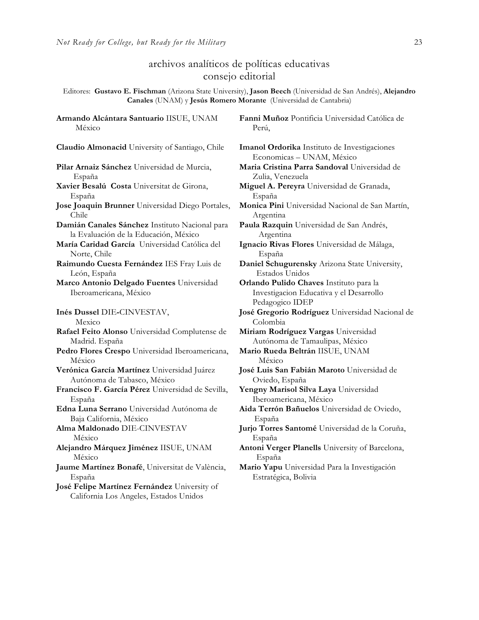**Armando Alcántara Santuario** IISUE, UNAM

## archivos analíticos de políticas educativas consejo editorial

Editores: **Gustavo E. Fischman** (Arizona State University), **Jason Beech** (Universidad de San Andrés), **Alejandro Canales** (UNAM) y **Jesús Romero Morante** (Universidad de Cantabria)

México **Claudio Almonacid** University of Santiago, Chile **Imanol Ordorika** Instituto de Investigaciones **Pilar Arnaiz Sánchez** Universidad de Murcia, España **Xavier Besalú Costa** Universitat de Girona, España **Jose Joaquin Brunner** Universidad Diego Portales, Chile **Damián Canales Sánchez** Instituto Nacional para la Evaluación de la Educación, México **María Caridad García** Universidad Católica del Norte, Chile **Raimundo Cuesta Fernández** IES Fray Luis de León, España **Marco Antonio Delgado Fuentes** Universidad Iberoamericana, México **Inés Dussel** DIE**-**CINVESTAV, Mexico **Rafael Feito Alonso** Universidad Complutense de Madrid. España **Pedro Flores Crespo** Universidad Iberoamericana, México **Verónica García Martínez** Universidad Juárez Autónoma de Tabasco, México **Francisco F. García Pérez** Universidad de Sevilla, España **Edna Luna Serrano** Universidad Autónoma de Baja California, México **Alma Maldonado** DIE-CINVESTAV México **Alejandro Márquez Jiménez** IISUE, UNAM México **Jaume Martínez Bonafé**, Universitat de València, España

**José Felipe Martínez Fernández** University of California Los Angeles, Estados Unidos

**Fanni Muñoz** Pontificia Universidad Católica de Perú,

Economicas – UNAM, México **Maria Cristina Parra Sandoval** Universidad de Zulia, Venezuela **Miguel A. Pereyra** Universidad de Granada, España **Monica Pini** Universidad Nacional de San Martín, Argentina **Paula Razquin** Universidad de San Andrés, Argentina **Ignacio Rivas Flores** Universidad de Málaga, España **Daniel Schugurensky** Arizona State University, Estados Unidos **Orlando Pulido Chaves** Instituto para la Investigacion Educativa y el Desarrollo Pedagogico IDEP **José Gregorio Rodríguez** Universidad Nacional de Colombia **Miriam Rodríguez Vargas** Universidad Autónoma de Tamaulipas, México **Mario Rueda Beltrán** IISUE, UNAM México **José Luis San Fabián Maroto** Universidad de Oviedo, España **Yengny Marisol Silva Laya** Universidad Iberoamericana, México **Aida Terrón Bañuelos** Universidad de Oviedo, España **Jurjo Torres Santomé** Universidad de la Coruña, España **Antoni Verger Planells** University of Barcelona, España **Mario Yapu** Universidad Para la Investigación Estratégica, Bolivia